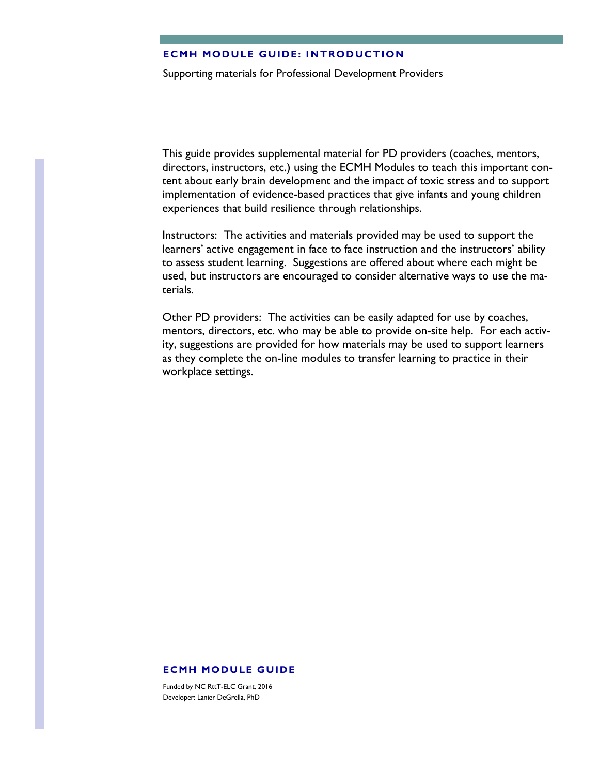#### **ECMH MODULE GUIDE: INTRODUCTION**

Supporting materials for Professional Development Providers

This guide provides supplemental material for PD providers (coaches, mentors, directors, instructors, etc.) using the ECMH Modules to teach this important content about early brain development and the impact of toxic stress and to support implementation of evidence-based practices that give infants and young children experiences that build resilience through relationships.

Instructors: The activities and materials provided may be used to support the learners' active engagement in face to face instruction and the instructors' ability to assess student learning. Suggestions are offered about where each might be used, but instructors are encouraged to consider alternative ways to use the materials.

Other PD providers: The activities can be easily adapted for use by coaches, mentors, directors, etc. who may be able to provide on-site help. For each activity, suggestions are provided for how materials may be used to support learners as they complete the on-line modules to transfer learning to practice in their workplace settings.

#### **ECMH MODULE GUIDE**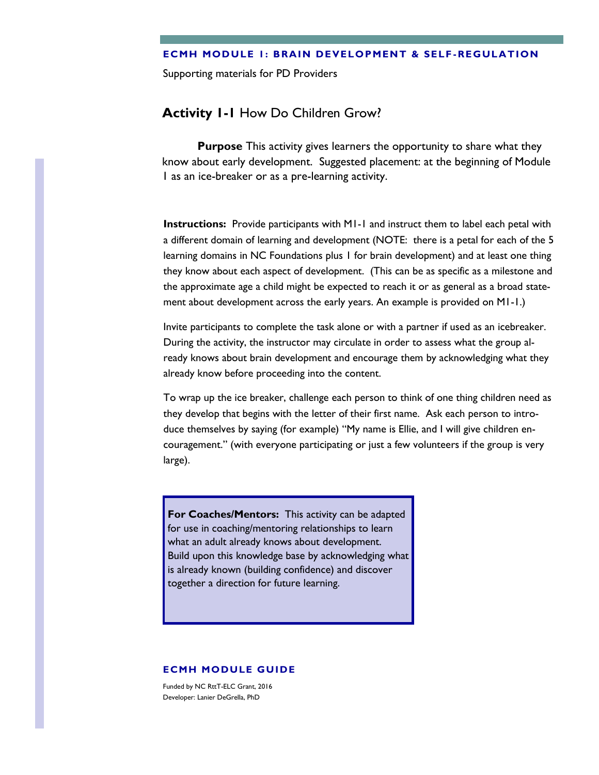#### **ECMH MODULE 1: BRAIN DEVELOPMENT & SELF -REGULATION**

Supporting materials for PD Providers

# **Activity 1-1** How Do Children Grow?

**Purpose** This activity gives learners the opportunity to share what they know about early development. Suggested placement: at the beginning of Module 1 as an ice-breaker or as a pre-learning activity.

**Instructions:** Provide participants with M1-1 and instruct them to label each petal with a different domain of learning and development (NOTE: there is a petal for each of the 5 learning domains in NC Foundations plus 1 for brain development) and at least one thing they know about each aspect of development. (This can be as specific as a milestone and the approximate age a child might be expected to reach it or as general as a broad statement about development across the early years. An example is provided on M1-1.)

Invite participants to complete the task alone or with a partner if used as an icebreaker. During the activity, the instructor may circulate in order to assess what the group already knows about brain development and encourage them by acknowledging what they already know before proceeding into the content.

To wrap up the ice breaker, challenge each person to think of one thing children need as they develop that begins with the letter of their first name. Ask each person to introduce themselves by saying (for example) "My name is Ellie, and I will give children encouragement." (with everyone participating or just a few volunteers if the group is very large).

**For Coaches/Mentors:** This activity can be adapted for use in coaching/mentoring relationships to learn what an adult already knows about development. Build upon this knowledge base by acknowledging what is already known (building confidence) and discover together a direction for future learning.

#### **ECMH MODULE GUIDE**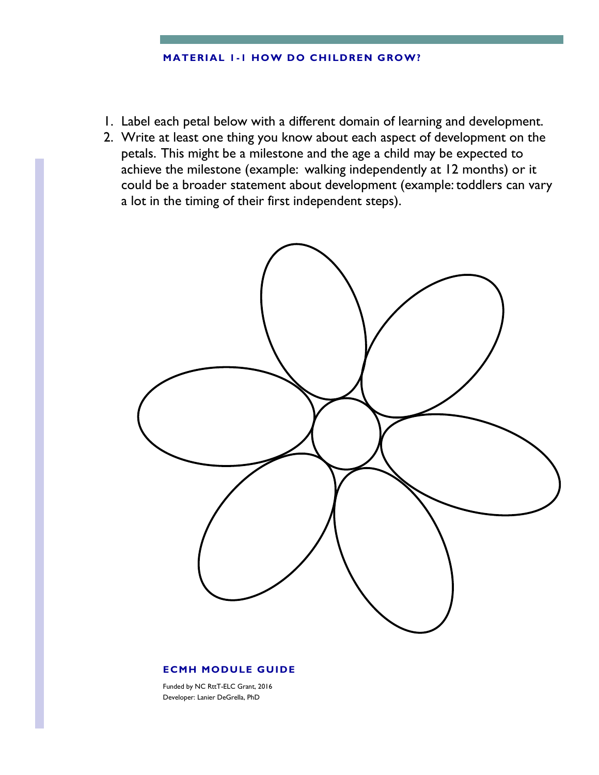#### **MATERIAL 1 -1 HOW DO CHILDREN GROW?**

- 1. Label each petal below with a different domain of learning and development.
- 2. Write at least one thing you know about each aspect of development on the petals. This might be a milestone and the age a child may be expected to achieve the milestone (example: walking independently at 12 months) or it could be a broader statement about development (example: toddlers can vary a lot in the timing of their first independent steps).



### **ECMH MODULE GUIDE**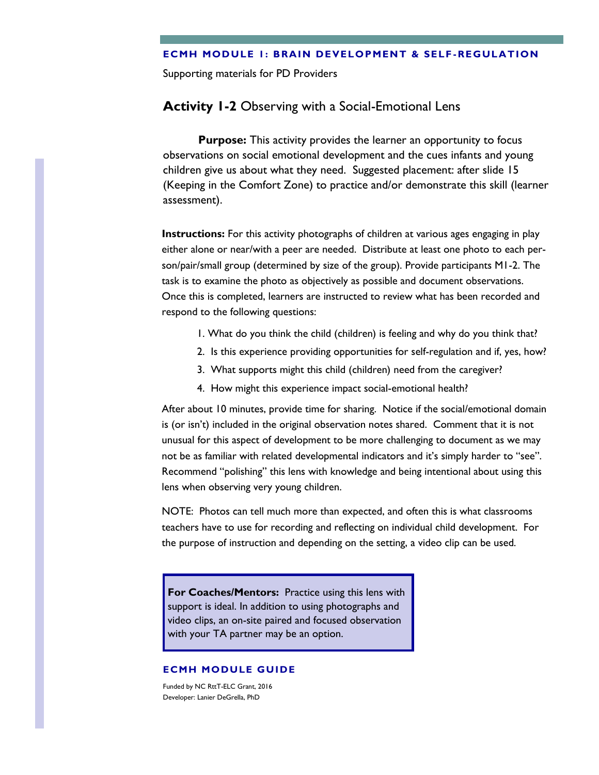#### **ECMH MODULE 1: BRAIN DEVELOPMENT & SELF -REGULATION**

Supporting materials for PD Providers

# **Activity 1-2** Observing with a Social-Emotional Lens

**Purpose:** This activity provides the learner an opportunity to focus observations on social emotional development and the cues infants and young children give us about what they need. Suggested placement: after slide 15 (Keeping in the Comfort Zone) to practice and/or demonstrate this skill (learner assessment).

**Instructions:** For this activity photographs of children at various ages engaging in play either alone or near/with a peer are needed. Distribute at least one photo to each person/pair/small group (determined by size of the group). Provide participants M1-2. The task is to examine the photo as objectively as possible and document observations. Once this is completed, learners are instructed to review what has been recorded and respond to the following questions:

- 1. What do you think the child (children) is feeling and why do you think that?
- 2. Is this experience providing opportunities for self-regulation and if, yes, how?
- 3. What supports might this child (children) need from the caregiver?
- 4. How might this experience impact social-emotional health?

After about 10 minutes, provide time for sharing. Notice if the social/emotional domain is (or isn't) included in the original observation notes shared. Comment that it is not unusual for this aspect of development to be more challenging to document as we may not be as familiar with related developmental indicators and it's simply harder to "see". Recommend "polishing" this lens with knowledge and being intentional about using this lens when observing very young children.

NOTE: Photos can tell much more than expected, and often this is what classrooms teachers have to use for recording and reflecting on individual child development. For the purpose of instruction and depending on the setting, a video clip can be used.

**For Coaches/Mentors:** Practice using this lens with support is ideal. In addition to using photographs and video clips, an on-site paired and focused observation with your TA partner may be an option.

### **ECMH MODULE GUIDE**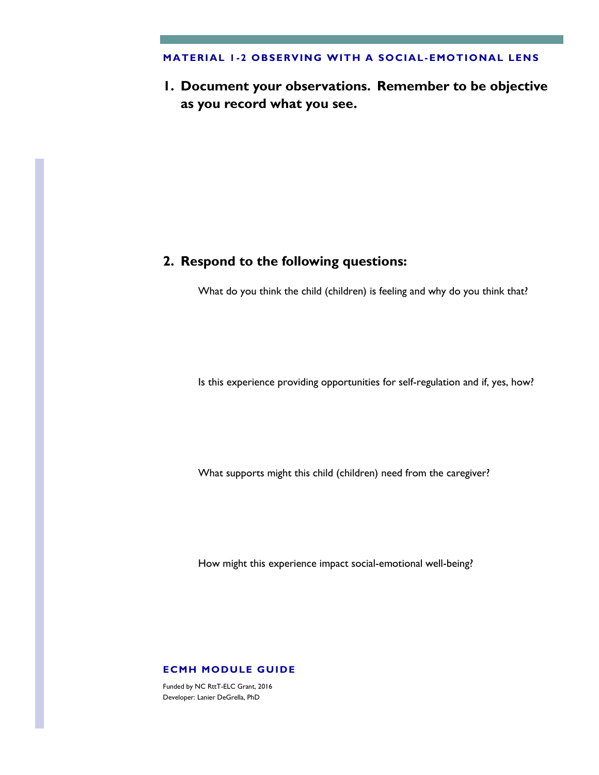#### **MATERIAL 1 -2 OBSERVING WITH A SOCIAL-EMOTIONAL LENS**

**1. Document your observations. Remember to be objective as you record what you see.**

# **2. Respond to the following questions:**

What do you think the child (children) is feeling and why do you think that?

Is this experience providing opportunities for self-regulation and if, yes, how?

What supports might this child (children) need from the caregiver?

How might this experience impact social-emotional well-being?

#### **ECMH MODULE GUIDE**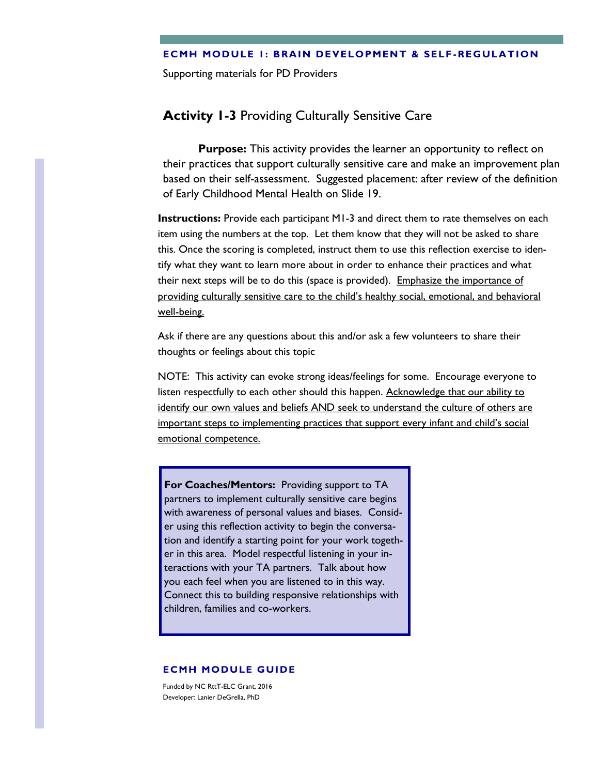#### **ECMH MODULE 1: BRAIN DEVELOPMENT & SELF -REGULATION**

Supporting materials for PD Providers

# **Activity 1-3** Providing Culturally Sensitive Care

**Purpose:** This activity provides the learner an opportunity to reflect on their practices that support culturally sensitive care and make an improvement plan based on their self-assessment. Suggested placement: after review of the definition of Early Childhood Mental Health on Slide 19.

**Instructions:** Provide each participant M1-3 and direct them to rate themselves on each item using the numbers at the top. Let them know that they will not be asked to share this. Once the scoring is completed, instruct them to use this reflection exercise to identify what they want to learn more about in order to enhance their practices and what their next steps will be to do this (space is provided). Emphasize the importance of providing culturally sensitive care to the child's healthy social, emotional, and behavioral well-being.

Ask if there are any questions about this and/or ask a few volunteers to share their thoughts or feelings about this topic

NOTE: This activity can evoke strong ideas/feelings for some. Encourage everyone to listen respectfully to each other should this happen. Acknowledge that our ability to identify our own values and beliefs AND seek to understand the culture of others are important steps to implementing practices that support every infant and child's social emotional competence.

**For Coaches/Mentors:** Providing support to TA partners to implement culturally sensitive care begins with awareness of personal values and biases. Consider using this reflection activity to begin the conversation and identify a starting point for your work together in this area. Model respectful listening in your interactions with your TA partners. Talk about how you each feel when you are listened to in this way. Connect this to building responsive relationships with children, families and co-workers.

#### **ECMH MODULE GUIDE**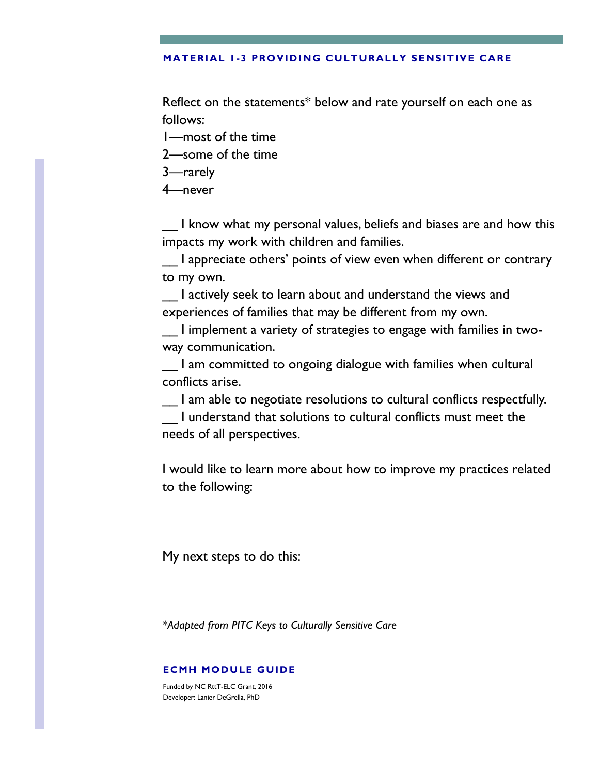### **MATERIAL 1 -3 PROVIDING CULTURALLY SENSITIVE CARE**

Reflect on the statements\* below and rate yourself on each one as follows:

1—most of the time

2—some of the time

3—rarely

4—never

\_\_ I know what my personal values, beliefs and biases are and how this impacts my work with children and families.

\_\_ I appreciate others' points of view even when different or contrary to my own.

\_\_ I actively seek to learn about and understand the views and experiences of families that may be different from my own.

\_\_ I implement a variety of strategies to engage with families in twoway communication.

I am committed to ongoing dialogue with families when cultural conflicts arise.

\_\_ I am able to negotiate resolutions to cultural conflicts respectfully.

\_\_ I understand that solutions to cultural conflicts must meet the needs of all perspectives.

I would like to learn more about how to improve my practices related to the following:

My next steps to do this:

*\*Adapted from PITC Keys to Culturally Sensitive Care*

### **ECMH MODULE GUIDE**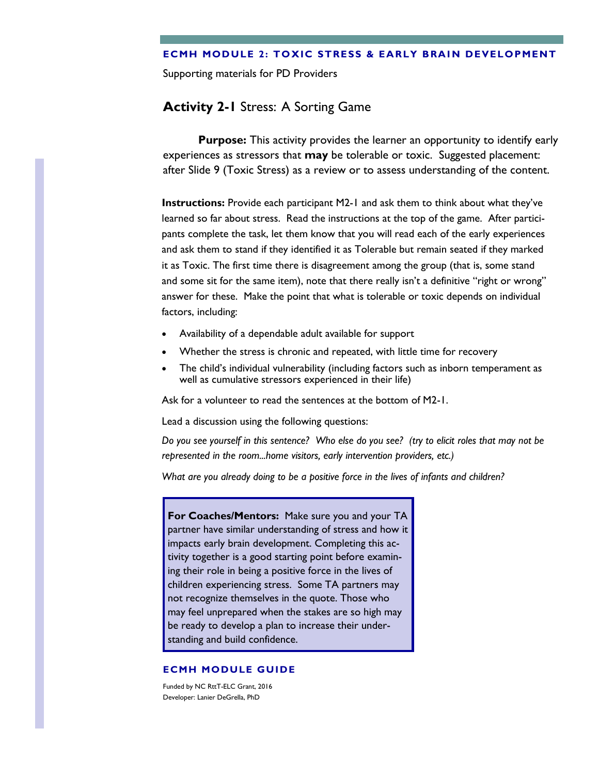### **ECMH MODULE 2: TOXIC STRESS & EARLY BRAIN DEVELOPMENT**

Supporting materials for PD Providers

# **Activity 2-1** Stress: A Sorting Game

**Purpose:** This activity provides the learner an opportunity to identify early experiences as stressors that **may** be tolerable or toxic. Suggested placement: after Slide 9 (Toxic Stress) as a review or to assess understanding of the content.

**Instructions:** Provide each participant M2-1 and ask them to think about what they've learned so far about stress. Read the instructions at the top of the game. After participants complete the task, let them know that you will read each of the early experiences and ask them to stand if they identified it as Tolerable but remain seated if they marked it as Toxic. The first time there is disagreement among the group (that is, some stand and some sit for the same item), note that there really isn't a definitive "right or wrong" answer for these. Make the point that what is tolerable or toxic depends on individual factors, including:

- Availability of a dependable adult available for support
- Whether the stress is chronic and repeated, with little time for recovery
- The child's individual vulnerability (including factors such as inborn temperament as well as cumulative stressors experienced in their life)

Ask for a volunteer to read the sentences at the bottom of M2-1.

Lead a discussion using the following questions:

*Do you see yourself in this sentence? Who else do you see? (try to elicit roles that may not be represented in the room...home visitors, early intervention providers, etc.)* 

*What are you already doing to be a positive force in the lives of infants and children?* 

**For Coaches/Mentors:** Make sure you and your TA partner have similar understanding of stress and how it impacts early brain development. Completing this activity together is a good starting point before examining their role in being a positive force in the lives of children experiencing stress. Some TA partners may not recognize themselves in the quote. Those who may feel unprepared when the stakes are so high may be ready to develop a plan to increase their understanding and build confidence.

#### **ECMH MODULE GUIDE**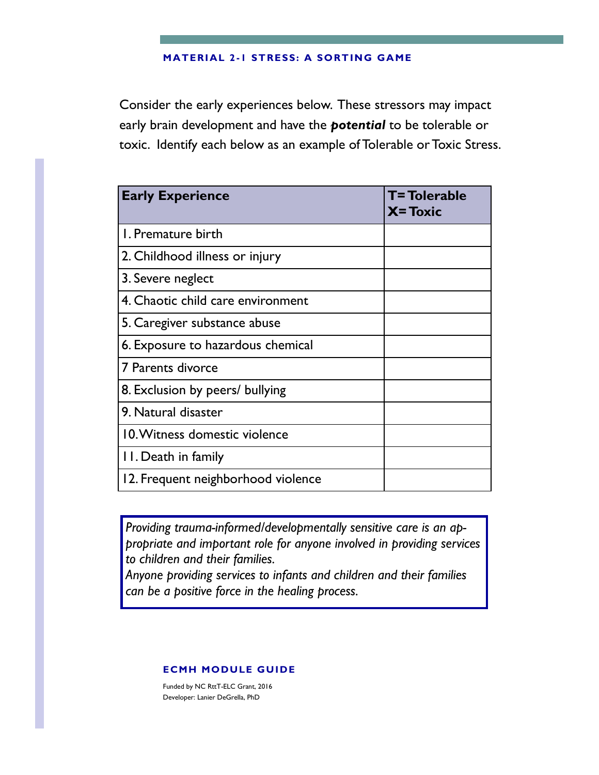#### **MATERIAL 2 -1 STRESS: A SORTING GAME**

Consider the early experiences below. These stressors may impact early brain development and have the *potential* to be tolerable or toxic. Identify each below as an example of Tolerable or Toxic Stress.

| <b>Early Experience</b>            | <b>T=Tolerable</b><br>$X = Toxic$ |
|------------------------------------|-----------------------------------|
| L. Premature birth                 |                                   |
| 2. Childhood illness or injury     |                                   |
| 3. Severe neglect                  |                                   |
| 4. Chaotic child care environment  |                                   |
| 5. Caregiver substance abuse       |                                   |
| 6. Exposure to hazardous chemical  |                                   |
| 7 Parents divorce                  |                                   |
| 8. Exclusion by peers/ bullying    |                                   |
| 9. Natural disaster                |                                   |
| 10. Witness domestic violence      |                                   |
| 11. Death in family                |                                   |
| 12. Frequent neighborhood violence |                                   |

*Providing trauma-informed/developmentally sensitive care is an appropriate and important role for anyone involved in providing services to children and their families.*

*Anyone providing services to infants and children and their families can be a positive force in the healing process.* 

### **ECMH MODULE GUIDE**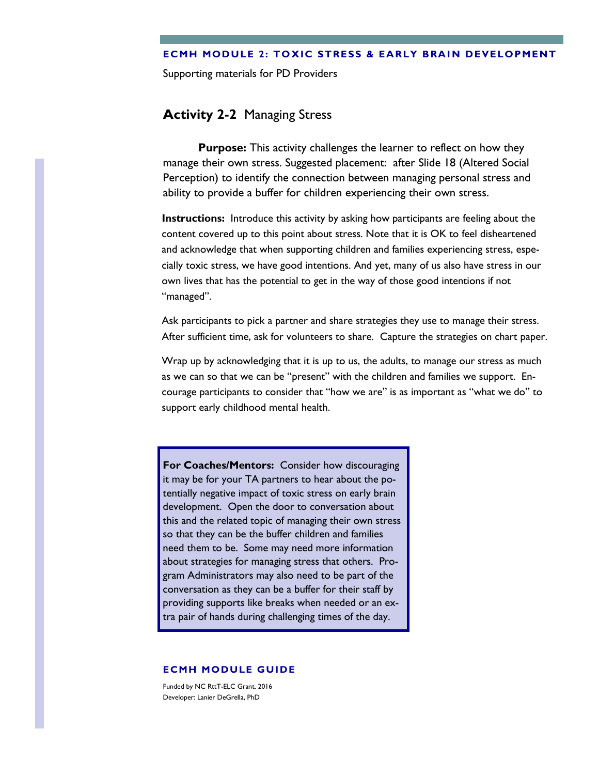#### **ECMH MODULE 2: TOXIC STRESS & EARLY BRAIN DEVELOPMENT**

Supporting materials for PD Providers

# **Activity 2-2** Managing Stress

**Purpose:** This activity challenges the learner to reflect on how they manage their own stress. Suggested placement: after Slide 18 (Altered Social Perception) to identify the connection between managing personal stress and ability to provide a buffer for children experiencing their own stress.

**Instructions:** Introduce this activity by asking how participants are feeling about the content covered up to this point about stress. Note that it is OK to feel disheartened and acknowledge that when supporting children and families experiencing stress, especially toxic stress, we have good intentions. And yet, many of us also have stress in our own lives that has the potential to get in the way of those good intentions if not "managed".

Ask participants to pick a partner and share strategies they use to manage their stress. After sufficient time, ask for volunteers to share. Capture the strategies on chart paper.

Wrap up by acknowledging that it is up to us, the adults, to manage our stress as much as we can so that we can be "present" with the children and families we support. Encourage participants to consider that "how we are" is as important as "what we do" to support early childhood mental health.

**For Coaches/Mentors:** Consider how discouraging it may be for your TA partners to hear about the potentially negative impact of toxic stress on early brain development. Open the door to conversation about this and the related topic of managing their own stress so that they can be the buffer children and families need them to be. Some may need more information about strategies for managing stress that others. Program Administrators may also need to be part of the conversation as they can be a buffer for their staff by providing supports like breaks when needed or an extra pair of hands during challenging times of the day.

#### **ECMH MODULE GUIDE**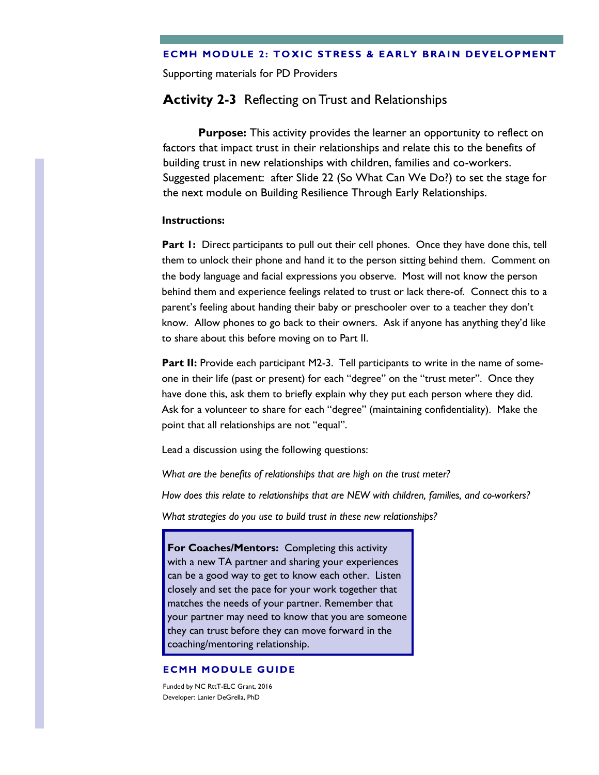### **ECMH MODULE 2: TOXIC STRESS & EARLY BRAIN DEVELOPMENT**

Supporting materials for PD Providers

# **Activity 2-3** Reflecting on Trust and Relationships

**Purpose:** This activity provides the learner an opportunity to reflect on factors that impact trust in their relationships and relate this to the benefits of building trust in new relationships with children, families and co-workers. Suggested placement: after Slide 22 (So What Can We Do?) to set the stage for the next module on Building Resilience Through Early Relationships.

### **Instructions:**

**Part 1:** Direct participants to pull out their cell phones. Once they have done this, tell them to unlock their phone and hand it to the person sitting behind them. Comment on the body language and facial expressions you observe. Most will not know the person behind them and experience feelings related to trust or lack there-of. Connect this to a parent's feeling about handing their baby or preschooler over to a teacher they don't know. Allow phones to go back to their owners. Ask if anyone has anything they'd like to share about this before moving on to Part II.

**Part II:** Provide each participant M2-3. Tell participants to write in the name of someone in their life (past or present) for each "degree" on the "trust meter". Once they have done this, ask them to briefly explain why they put each person where they did. Ask for a volunteer to share for each "degree" (maintaining confidentiality). Make the point that all relationships are not "equal".

Lead a discussion using the following questions:

*What are the benefits of relationships that are high on the trust meter?*

*How does this relate to relationships that are NEW with children, families, and co-workers?* 

*What strategies do you use to build trust in these new relationships?*

**For Coaches/Mentors:** Completing this activity with a new TA partner and sharing your experiences can be a good way to get to know each other. Listen closely and set the pace for your work together that matches the needs of your partner. Remember that your partner may need to know that you are someone they can trust before they can move forward in the coaching/mentoring relationship.

#### **ECMH MODULE GUIDE**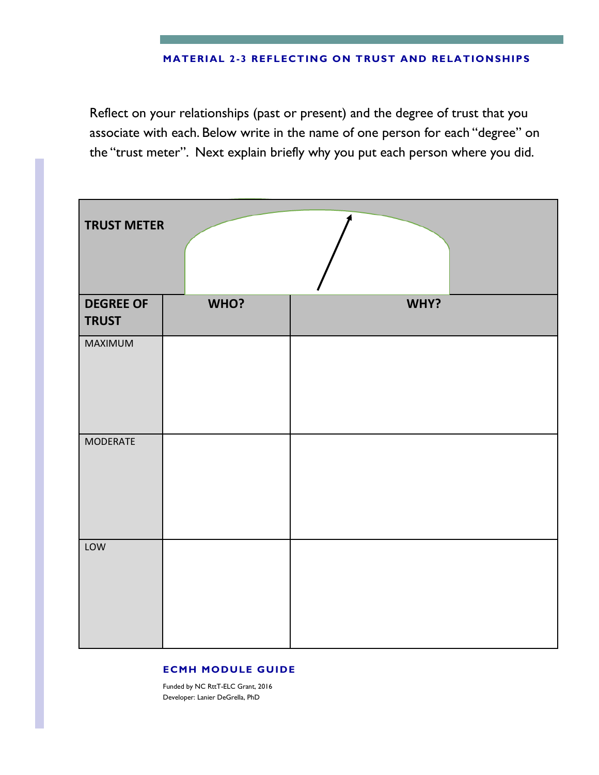## **MATERIAL 2 -3 REFLECTING ON TRUST AND RELATIONSHIPS**

Reflect on your relationships (past or present) and the degree of trust that you associate with each. Below write in the name of one person for each "degree" on the "trust meter". Next explain briefly why you put each person where you did.

| <b>TRUST METER</b>               |      |      |
|----------------------------------|------|------|
| <b>DEGREE OF</b><br><b>TRUST</b> | WHO? | WHY? |
| MAXIMUM                          |      |      |
| <b>MODERATE</b>                  |      |      |
| LOW                              |      |      |

#### **ECMH MODULE GUIDE**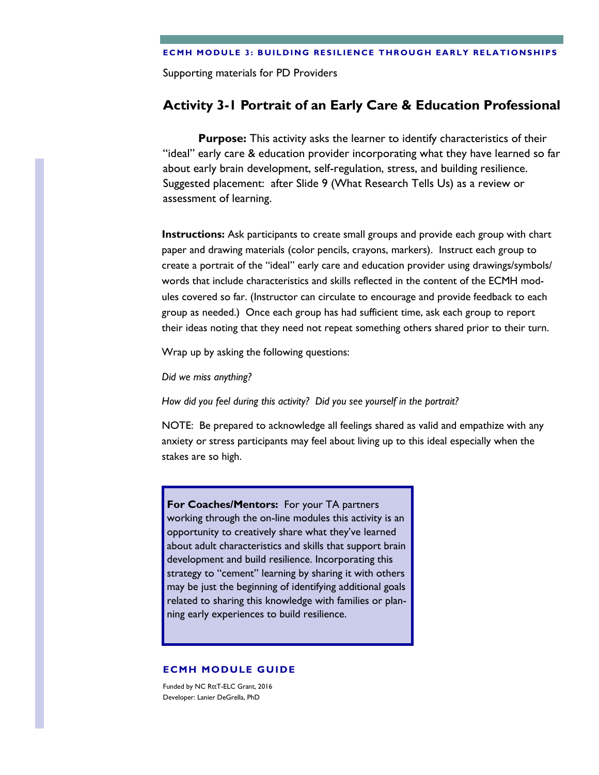Supporting materials for PD Providers

# **Activity 3-1 Portrait of an Early Care & Education Professional**

**Purpose:** This activity asks the learner to identify characteristics of their "ideal" early care & education provider incorporating what they have learned so far about early brain development, self-regulation, stress, and building resilience. Suggested placement: after Slide 9 (What Research Tells Us) as a review or assessment of learning.

**Instructions:** Ask participants to create small groups and provide each group with chart paper and drawing materials (color pencils, crayons, markers). Instruct each group to create a portrait of the "ideal" early care and education provider using drawings/symbols/ words that include characteristics and skills reflected in the content of the ECMH modules covered so far. (Instructor can circulate to encourage and provide feedback to each group as needed.) Once each group has had sufficient time, ask each group to report their ideas noting that they need not repeat something others shared prior to their turn.

Wrap up by asking the following questions:

*Did we miss anything?*

*How did you feel during this activity? Did you see yourself in the portrait?* 

NOTE: Be prepared to acknowledge all feelings shared as valid and empathize with any anxiety or stress participants may feel about living up to this ideal especially when the stakes are so high.

**For Coaches/Mentors:** For your TA partners working through the on-line modules this activity is an opportunity to creatively share what they've learned about adult characteristics and skills that support brain development and build resilience. Incorporating this strategy to "cement" learning by sharing it with others may be just the beginning of identifying additional goals related to sharing this knowledge with families or planning early experiences to build resilience.

#### **ECMH MODULE GUIDE**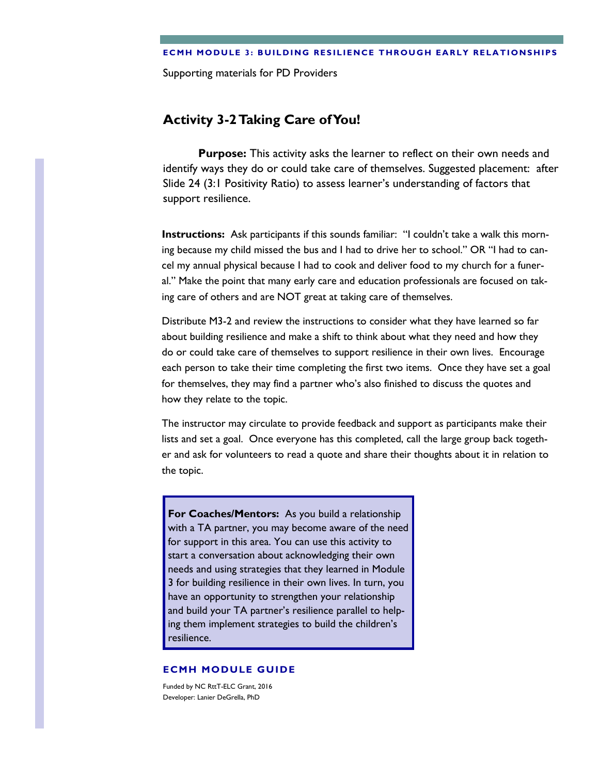Supporting materials for PD Providers

# **Activity 3-2 Taking Care of You!**

**Purpose:** This activity asks the learner to reflect on their own needs and identify ways they do or could take care of themselves. Suggested placement: after Slide 24 (3:1 Positivity Ratio) to assess learner's understanding of factors that support resilience.

**Instructions:** Ask participants if this sounds familiar: "I couldn't take a walk this morning because my child missed the bus and I had to drive her to school." OR "I had to cancel my annual physical because I had to cook and deliver food to my church for a funeral." Make the point that many early care and education professionals are focused on taking care of others and are NOT great at taking care of themselves.

Distribute M3-2 and review the instructions to consider what they have learned so far about building resilience and make a shift to think about what they need and how they do or could take care of themselves to support resilience in their own lives. Encourage each person to take their time completing the first two items. Once they have set a goal for themselves, they may find a partner who's also finished to discuss the quotes and how they relate to the topic.

The instructor may circulate to provide feedback and support as participants make their lists and set a goal. Once everyone has this completed, call the large group back together and ask for volunteers to read a quote and share their thoughts about it in relation to the topic.

**For Coaches/Mentors:** As you build a relationship with a TA partner, you may become aware of the need for support in this area. You can use this activity to start a conversation about acknowledging their own needs and using strategies that they learned in Module 3 for building resilience in their own lives. In turn, you have an opportunity to strengthen your relationship and build your TA partner's resilience parallel to helping them implement strategies to build the children's resilience.

#### **ECMH MODULE GUIDE**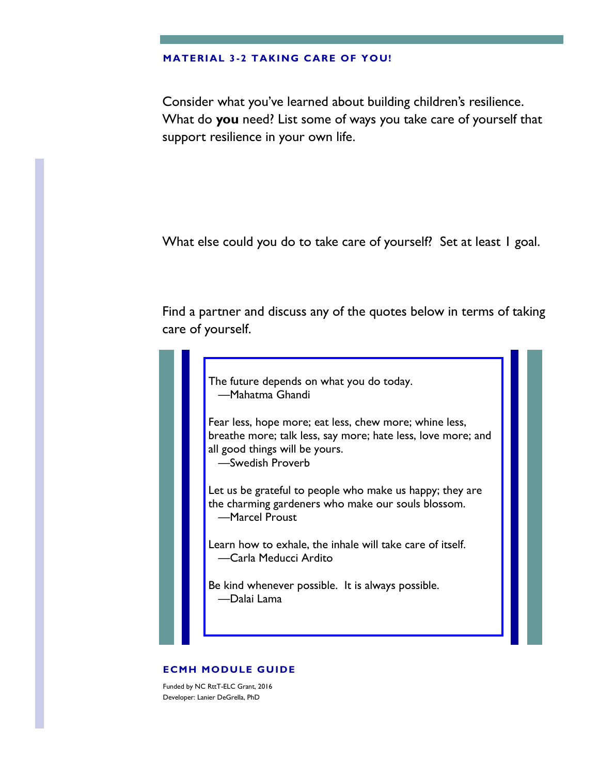#### **MATERIAL 3 -2 TAKING CARE OF YOU!**

Consider what you've learned about building children's resilience. What do **you** need? List some of ways you take care of yourself that support resilience in your own life.

What else could you do to take care of yourself? Set at least 1 goal.

Find a partner and discuss any of the quotes below in terms of taking care of yourself.



### **ECMH MODULE GUIDE**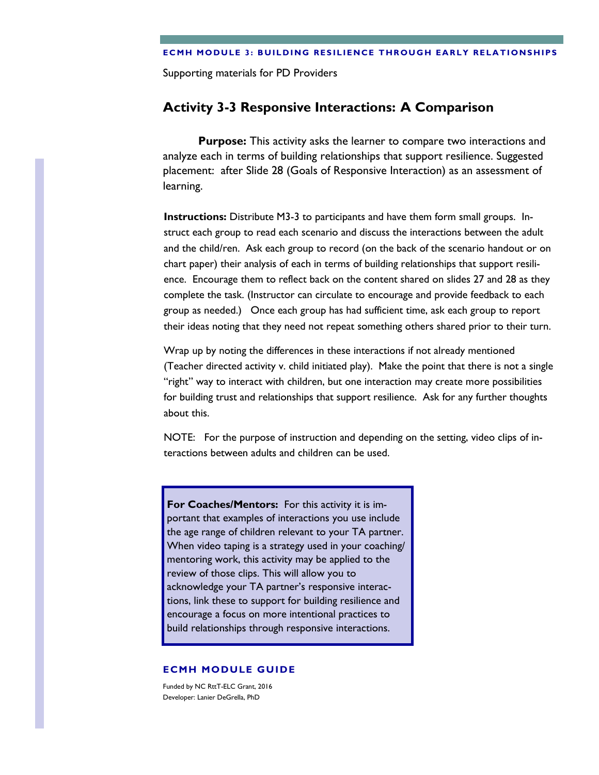Supporting materials for PD Providers

# **Activity 3-3 Responsive Interactions: A Comparison**

**Purpose:** This activity asks the learner to compare two interactions and analyze each in terms of building relationships that support resilience. Suggested placement: after Slide 28 (Goals of Responsive Interaction) as an assessment of learning.

**Instructions:** Distribute M3-3 to participants and have them form small groups. Instruct each group to read each scenario and discuss the interactions between the adult and the child/ren. Ask each group to record (on the back of the scenario handout or on chart paper) their analysis of each in terms of building relationships that support resilience. Encourage them to reflect back on the content shared on slides 27 and 28 as they complete the task. (Instructor can circulate to encourage and provide feedback to each group as needed.) Once each group has had sufficient time, ask each group to report their ideas noting that they need not repeat something others shared prior to their turn.

Wrap up by noting the differences in these interactions if not already mentioned (Teacher directed activity v. child initiated play). Make the point that there is not a single "right" way to interact with children, but one interaction may create more possibilities for building trust and relationships that support resilience. Ask for any further thoughts about this.

NOTE: For the purpose of instruction and depending on the setting, video clips of interactions between adults and children can be used.

**For Coaches/Mentors:** For this activity it is important that examples of interactions you use include the age range of children relevant to your TA partner. When video taping is a strategy used in your coaching/ mentoring work, this activity may be applied to the review of those clips. This will allow you to acknowledge your TA partner's responsive interactions, link these to support for building resilience and encourage a focus on more intentional practices to build relationships through responsive interactions.

#### **ECMH MODULE GUIDE**